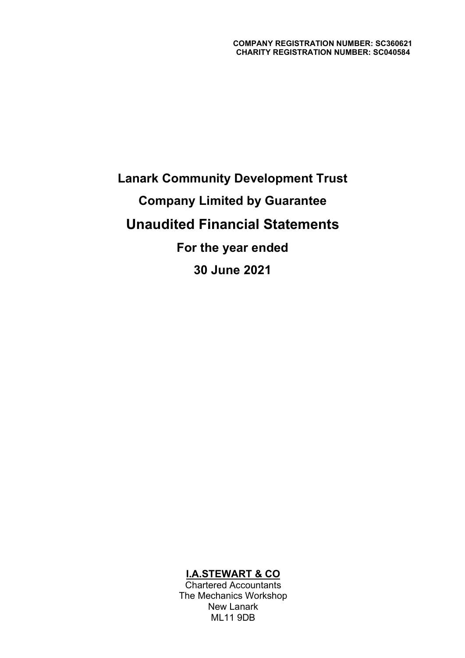# Lanark Community Development Trust Company Limited by Guarantee Unaudited Financial Statements For the year ended 30 June 2021

## I.A.STEWART & CO

Chartered Accountants The Mechanics Workshop New Lanark ML11 9DB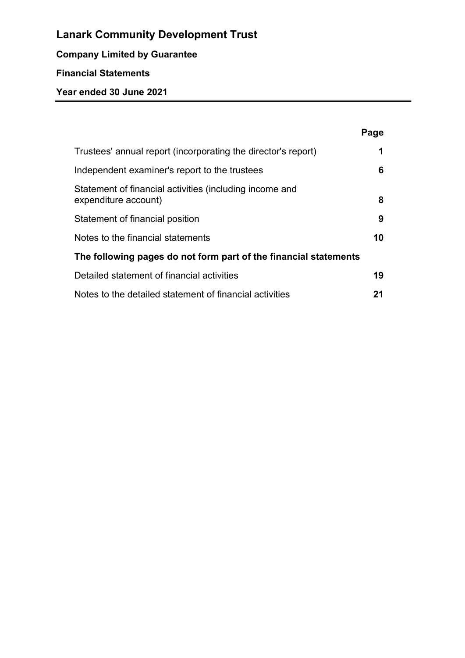## Company Limited by Guarantee

## Financial Statements

|                                                                                 | Page |
|---------------------------------------------------------------------------------|------|
| Trustees' annual report (incorporating the director's report)                   | 1    |
| Independent examiner's report to the trustees                                   | 6    |
| Statement of financial activities (including income and<br>expenditure account) | 8    |
| Statement of financial position                                                 | 9    |
| Notes to the financial statements                                               | 10   |
| The following pages do not form part of the financial statements                |      |
| Detailed statement of financial activities                                      | 19   |
| Notes to the detailed statement of financial activities                         | 21   |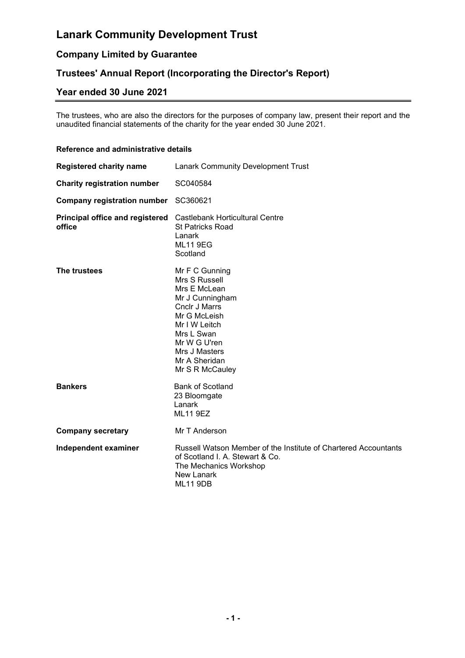## Company Limited by Guarantee

## Trustees' Annual Report (Incorporating the Director's Report)

## Year ended 30 June 2021

The trustees, who are also the directors for the purposes of company law, present their report and the unaudited financial statements of the charity for the year ended 30 June 2021.

#### Reference and administrative details

| <b>Registered charity name</b>            | <b>Lanark Community Development Trust</b>                                                                                                                                                               |
|-------------------------------------------|---------------------------------------------------------------------------------------------------------------------------------------------------------------------------------------------------------|
| <b>Charity registration number</b>        | SC040584                                                                                                                                                                                                |
| <b>Company registration number</b>        | SC360621                                                                                                                                                                                                |
| Principal office and registered<br>office | Castlebank Horticultural Centre<br>St Patricks Road<br>Lanark<br><b>ML11 9EG</b><br>Scotland                                                                                                            |
| The trustees                              | Mr F C Gunning<br>Mrs S Russell<br>Mrs E McLean<br>Mr J Cunningham<br>Cnclr J Marrs<br>Mr G McLeish<br>Mr I W Leitch<br>Mrs L Swan<br>Mr W G U'ren<br>Mrs J Masters<br>Mr A Sheridan<br>Mr S R McCauley |
| <b>Bankers</b>                            | <b>Bank of Scotland</b><br>23 Bloomgate<br>Lanark<br><b>ML11 9EZ</b>                                                                                                                                    |
| <b>Company secretary</b>                  | Mr T Anderson                                                                                                                                                                                           |
| Independent examiner                      | Russell Watson Member of the Institute of Chartered Accountants<br>of Scotland I. A. Stewart & Co.<br>The Mechanics Workshop<br>New Lanark<br><b>ML11 9DB</b>                                           |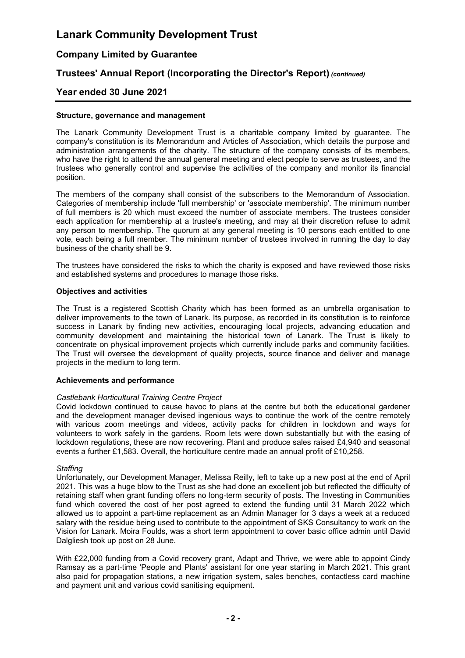## Company Limited by Guarantee

## Trustees' Annual Report (Incorporating the Director's Report) (continued)

### Year ended 30 June 2021

#### Structure, governance and management

The Lanark Community Development Trust is a charitable company limited by guarantee. The company's constitution is its Memorandum and Articles of Association, which details the purpose and administration arrangements of the charity. The structure of the company consists of its members, who have the right to attend the annual general meeting and elect people to serve as trustees, and the trustees who generally control and supervise the activities of the company and monitor its financial position.

The members of the company shall consist of the subscribers to the Memorandum of Association. Categories of membership include 'full membership' or 'associate membership'. The minimum number of full members is 20 which must exceed the number of associate members. The trustees consider each application for membership at a trustee's meeting, and may at their discretion refuse to admit any person to membership. The quorum at any general meeting is 10 persons each entitled to one vote, each being a full member. The minimum number of trustees involved in running the day to day business of the charity shall be 9.

The trustees have considered the risks to which the charity is exposed and have reviewed those risks and established systems and procedures to manage those risks.

#### Objectives and activities

The Trust is a registered Scottish Charity which has been formed as an umbrella organisation to deliver improvements to the town of Lanark. Its purpose, as recorded in its constitution is to reinforce success in Lanark by finding new activities, encouraging local projects, advancing education and community development and maintaining the historical town of Lanark. The Trust is likely to concentrate on physical improvement projects which currently include parks and community facilities. The Trust will oversee the development of quality projects, source finance and deliver and manage projects in the medium to long term.

#### Achievements and performance

#### Castlebank Horticultural Training Centre Project

Covid lockdown continued to cause havoc to plans at the centre but both the educational gardener and the development manager devised ingenious ways to continue the work of the centre remotely with various zoom meetings and videos, activity packs for children in lockdown and ways for volunteers to work safely in the gardens. Room lets were down substantially but with the easing of lockdown regulations, these are now recovering. Plant and produce sales raised £4,940 and seasonal events a further £1,583. Overall, the horticulture centre made an annual profit of £10,258.

#### **Staffing**

Unfortunately, our Development Manager, Melissa Reilly, left to take up a new post at the end of April 2021. This was a huge blow to the Trust as she had done an excellent job but reflected the difficulty of retaining staff when grant funding offers no long-term security of posts. The Investing in Communities fund which covered the cost of her post agreed to extend the funding until 31 March 2022 which allowed us to appoint a part-time replacement as an Admin Manager for 3 days a week at a reduced salary with the residue being used to contribute to the appointment of SKS Consultancy to work on the Vision for Lanark. Moira Foulds, was a short term appointment to cover basic office admin until David Dalgliesh took up post on 28 June.

With £22,000 funding from a Covid recovery grant, Adapt and Thrive, we were able to appoint Cindy Ramsay as a part-time 'People and Plants' assistant for one year starting in March 2021. This grant also paid for propagation stations, a new irrigation system, sales benches, contactless card machine and payment unit and various covid sanitising equipment.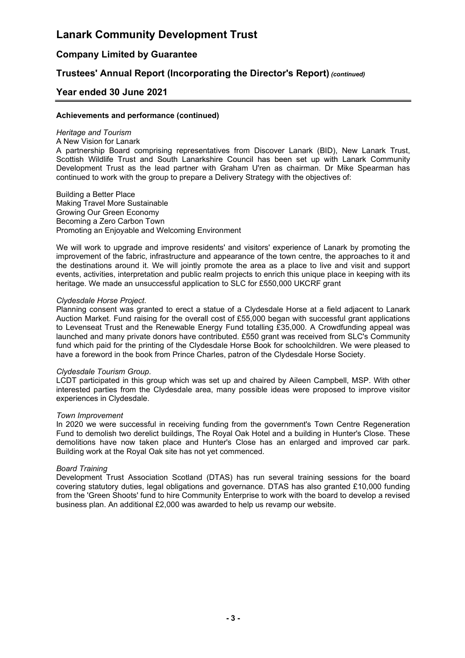### Company Limited by Guarantee

### Trustees' Annual Report (Incorporating the Director's Report) (continued)

#### Year ended 30 June 2021

#### Achievements and performance (continued)

#### Heritage and Tourism

A New Vision for Lanark

A partnership Board comprising representatives from Discover Lanark (BID), New Lanark Trust, Scottish Wildlife Trust and South Lanarkshire Council has been set up with Lanark Community Development Trust as the lead partner with Graham U'ren as chairman. Dr Mike Spearman has continued to work with the group to prepare a Delivery Strategy with the objectives of:

Building a Better Place Making Travel More Sustainable Growing Our Green Economy Becoming a Zero Carbon Town Promoting an Enjoyable and Welcoming Environment

We will work to upgrade and improve residents' and visitors' experience of Lanark by promoting the improvement of the fabric, infrastructure and appearance of the town centre, the approaches to it and the destinations around it. We will jointly promote the area as a place to live and visit and support events, activities, interpretation and public realm projects to enrich this unique place in keeping with its heritage. We made an unsuccessful application to SLC for £550,000 UKCRF grant

#### Clydesdale Horse Project.

Planning consent was granted to erect a statue of a Clydesdale Horse at a field adjacent to Lanark Auction Market. Fund raising for the overall cost of £55,000 began with successful grant applications to Levenseat Trust and the Renewable Energy Fund totalling £35,000. A Crowdfunding appeal was launched and many private donors have contributed. £550 grant was received from SLC's Community fund which paid for the printing of the Clydesdale Horse Book for schoolchildren. We were pleased to have a foreword in the book from Prince Charles, patron of the Clydesdale Horse Society.

#### Clydesdale Tourism Group.

LCDT participated in this group which was set up and chaired by Aileen Campbell, MSP. With other interested parties from the Clydesdale area, many possible ideas were proposed to improve visitor experiences in Clydesdale.

#### Town Improvement

In 2020 we were successful in receiving funding from the government's Town Centre Regeneration Fund to demolish two derelict buildings, The Royal Oak Hotel and a building in Hunter's Close. These demolitions have now taken place and Hunter's Close has an enlarged and improved car park. Building work at the Royal Oak site has not yet commenced.

#### Board Training

Development Trust Association Scotland (DTAS) has run several training sessions for the board covering statutory duties, legal obligations and governance. DTAS has also granted £10,000 funding from the 'Green Shoots' fund to hire Community Enterprise to work with the board to develop a revised business plan. An additional £2,000 was awarded to help us revamp our website.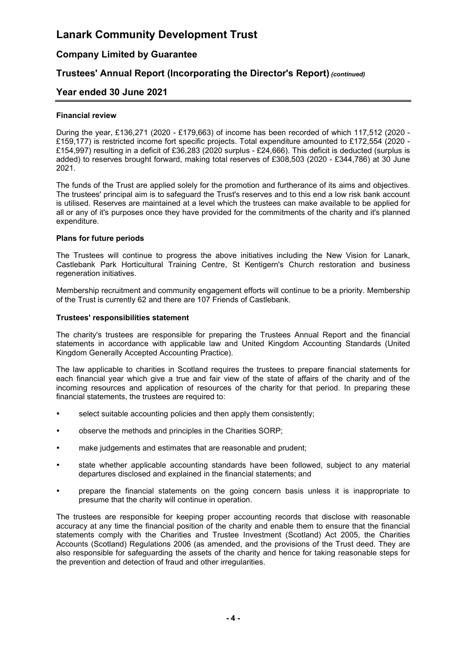## Company Limited by Guarantee

## Trustees' Annual Report (Incorporating the Director's Report) (continued)

### Year ended 30 June 2021

#### Financial review

During the year, £136,271 (2020 - £179,663) of income has been recorded of which 117,512 (2020 - £159,177) is restricted income fort specific projects. Total expenditure amounted to £172,554 (2020 - £154,997) resulting in a deficit of £36,283 (2020 surplus - £24,666). This deficit is deducted (surplus is added) to reserves brought forward, making total reserves of £308,503 (2020 - £344,786) at 30 June 2021.

The funds of the Trust are applied solely for the promotion and furtherance of its aims and objectives. The trustees' principal aim is to safeguard the Trust's reserves and to this end a low risk bank account is utilised. Reserves are maintained at a level which the trustees can make available to be applied for all or any of it's purposes once they have provided for the commitments of the charity and it's planned expenditure.

#### Plans for future periods

The Trustees will continue to progress the above initiatives including the New Vision for Lanark, Castlebank Park Horticultural Training Centre, St Kentigern's Church restoration and business regeneration initiatives.

Membership recruitment and community engagement efforts will continue to be a priority. Membership of the Trust is currently 62 and there are 107 Friends of Castlebank.

#### Trustees' responsibilities statement

The charity's trustees are responsible for preparing the Trustees Annual Report and the financial statements in accordance with applicable law and United Kingdom Accounting Standards (United Kingdom Generally Accepted Accounting Practice).

The law applicable to charities in Scotland requires the trustees to prepare financial statements for each financial year which give a true and fair view of the state of affairs of the charity and of the incoming resources and application of resources of the charity for that period. In preparing these financial statements, the trustees are required to:

- select suitable accounting policies and then apply them consistently;
- observe the methods and principles in the Charities SORP;
- make judgements and estimates that are reasonable and prudent;
- state whether applicable accounting standards have been followed, subject to any material departures disclosed and explained in the financial statements; and
- prepare the financial statements on the going concern basis unless it is inappropriate to presume that the charity will continue in operation.

The trustees are responsible for keeping proper accounting records that disclose with reasonable accuracy at any time the financial position of the charity and enable them to ensure that the financial statements comply with the Charities and Trustee Investment (Scotland) Act 2005, the Charities Accounts (Scotland) Regulations 2006 (as amended, and the provisions of the Trust deed. They are also responsible for safeguarding the assets of the charity and hence for taking reasonable steps for the prevention and detection of fraud and other irregularities.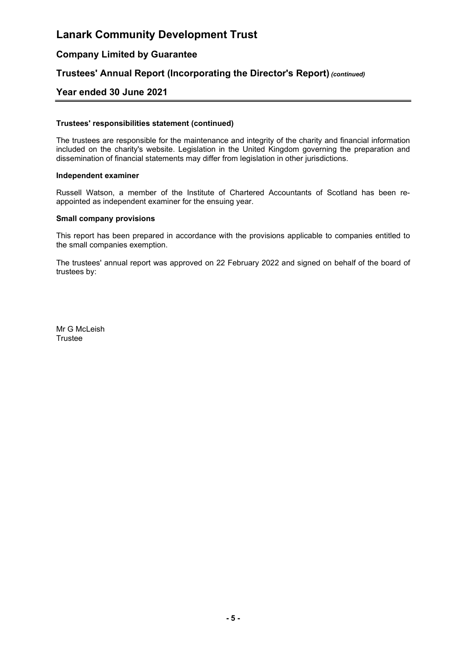## Company Limited by Guarantee

### Trustees' Annual Report (Incorporating the Director's Report) (continued)

### Year ended 30 June 2021

#### Trustees' responsibilities statement (continued)

The trustees are responsible for the maintenance and integrity of the charity and financial information included on the charity's website. Legislation in the United Kingdom governing the preparation and dissemination of financial statements may differ from legislation in other jurisdictions.

#### Independent examiner

Russell Watson, a member of the Institute of Chartered Accountants of Scotland has been reappointed as independent examiner for the ensuing year.

#### Small company provisions

This report has been prepared in accordance with the provisions applicable to companies entitled to the small companies exemption.

The trustees' annual report was approved on 22 February 2022 and signed on behalf of the board of trustees by:

Mr G McLeish **Trustee**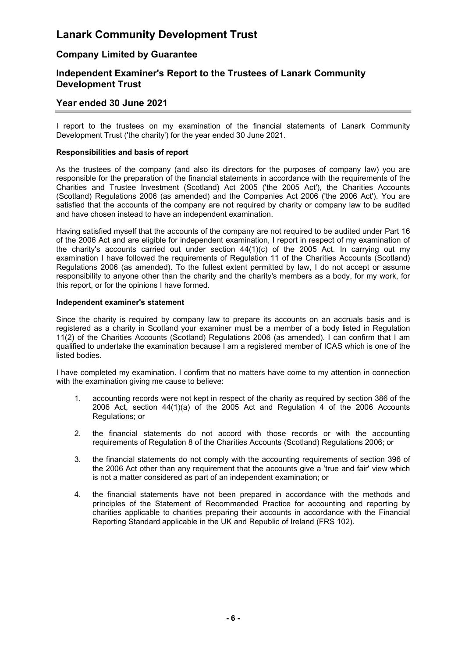### Company Limited by Guarantee

### Independent Examiner's Report to the Trustees of Lanark Community Development Trust

## Year ended 30 June 2021

I report to the trustees on my examination of the financial statements of Lanark Community Development Trust ('the charity') for the year ended 30 June 2021.

#### Responsibilities and basis of report

As the trustees of the company (and also its directors for the purposes of company law) you are responsible for the preparation of the financial statements in accordance with the requirements of the Charities and Trustee Investment (Scotland) Act 2005 ('the 2005 Act'), the Charities Accounts (Scotland) Regulations 2006 (as amended) and the Companies Act 2006 ('the 2006 Act'). You are satisfied that the accounts of the company are not required by charity or company law to be audited and have chosen instead to have an independent examination.

Having satisfied myself that the accounts of the company are not required to be audited under Part 16 of the 2006 Act and are eligible for independent examination, I report in respect of my examination of the charity's accounts carried out under section 44(1)(c) of the 2005 Act. In carrying out my examination I have followed the requirements of Regulation 11 of the Charities Accounts (Scotland) Regulations 2006 (as amended). To the fullest extent permitted by law, I do not accept or assume responsibility to anyone other than the charity and the charity's members as a body, for my work, for this report, or for the opinions I have formed.

#### Independent examiner's statement

Since the charity is required by company law to prepare its accounts on an accruals basis and is registered as a charity in Scotland your examiner must be a member of a body listed in Regulation 11(2) of the Charities Accounts (Scotland) Regulations 2006 (as amended). I can confirm that I am qualified to undertake the examination because I am a registered member of ICAS which is one of the listed bodies.

I have completed my examination. I confirm that no matters have come to my attention in connection with the examination giving me cause to believe:

- 1. accounting records were not kept in respect of the charity as required by section 386 of the 2006 Act, section 44(1)(a) of the 2005 Act and Regulation 4 of the 2006 Accounts Regulations; or
- 2. the financial statements do not accord with those records or with the accounting requirements of Regulation 8 of the Charities Accounts (Scotland) Regulations 2006; or
- 3. the financial statements do not comply with the accounting requirements of section 396 of the 2006 Act other than any requirement that the accounts give a 'true and fair' view which is not a matter considered as part of an independent examination; or
- 4. the financial statements have not been prepared in accordance with the methods and principles of the Statement of Recommended Practice for accounting and reporting by charities applicable to charities preparing their accounts in accordance with the Financial Reporting Standard applicable in the UK and Republic of Ireland (FRS 102).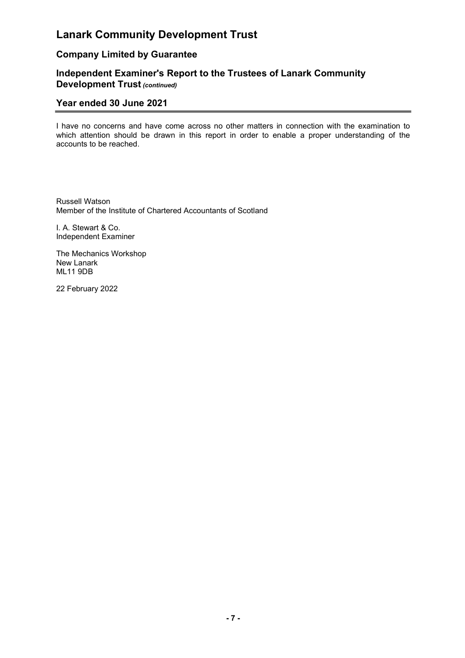## Company Limited by Guarantee

### Independent Examiner's Report to the Trustees of Lanark Community Development Trust (continued)

## Year ended 30 June 2021

I have no concerns and have come across no other matters in connection with the examination to which attention should be drawn in this report in order to enable a proper understanding of the accounts to be reached.

Russell Watson Member of the Institute of Chartered Accountants of Scotland

I. A. Stewart & Co. Independent Examiner

The Mechanics Workshop New Lanark ML11 9DB

22 February 2022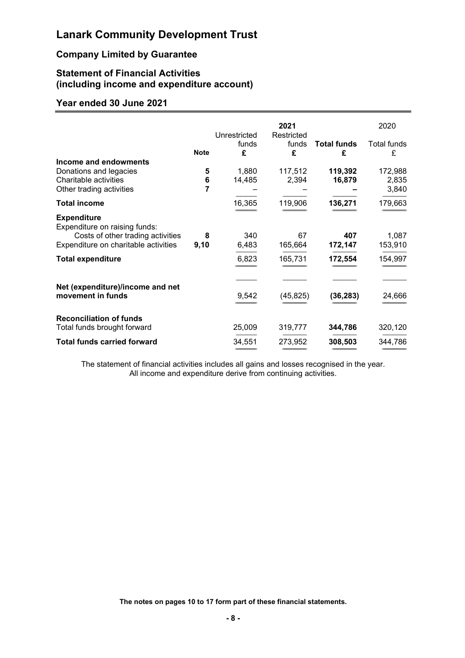## Company Limited by Guarantee

### Statement of Financial Activities (including income and expenditure account)

## Year ended 30 June 2021

|                                                       | Unrestricted | 2021<br>Restricted |                         | 2020             |
|-------------------------------------------------------|--------------|--------------------|-------------------------|------------------|
| <b>Note</b>                                           | funds<br>£   | funds<br>£         | <b>Total funds</b><br>£ | Total funds<br>£ |
| Income and endowments                                 |              |                    |                         |                  |
| Donations and legacies                                | 5<br>1,880   | 117,512            | 119,392                 | 172,988          |
| Charitable activities                                 | 14,485<br>6  | 2,394              | 16,879                  | 2,835            |
| Other trading activities                              | 7            |                    |                         | 3,840            |
| <b>Total income</b>                                   | 16,365       | 119,906            | 136,271                 | 179,663          |
| <b>Expenditure</b><br>Expenditure on raising funds:   |              |                    |                         |                  |
| Costs of other trading activities<br>8                | 340          | 67                 | 407                     | 1,087            |
| Expenditure on charitable activities<br>9,10          | 6,483        | 165,664            | 172,147                 | 153,910          |
| <b>Total expenditure</b>                              | 6,823        | 165,731            | 172,554                 | 154,997          |
|                                                       |              |                    |                         |                  |
| Net (expenditure)/income and net<br>movement in funds | 9,542        | (45, 825)          | (36,283)                | 24,666           |
| <b>Reconciliation of funds</b>                        |              |                    |                         |                  |
| Total funds brought forward                           | 25,009       | 319,777            | 344,786                 | 320,120          |
| <b>Total funds carried forward</b>                    | 34,551       | 273,952            | 308,503                 | 344,786          |

The statement of financial activities includes all gains and losses recognised in the year. All income and expenditure derive from continuing activities.

The notes on pages 10 to 17 form part of these financial statements.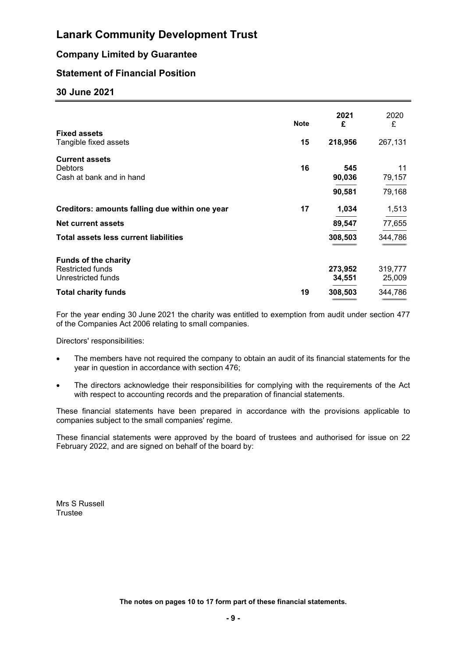## Company Limited by Guarantee

## Statement of Financial Position

### 30 June 2021

| <b>Fixed assets</b><br>Tangible fixed assets                                                               | <b>Note</b><br>15 | 2021<br>£<br>218,956         | 2020<br>£<br>267,131         |
|------------------------------------------------------------------------------------------------------------|-------------------|------------------------------|------------------------------|
| <b>Current assets</b>                                                                                      | 16                | 545                          | 11                           |
| <b>Debtors</b>                                                                                             |                   | 90,036                       | 79,157                       |
| Cash at bank and in hand                                                                                   |                   | 90,581                       | 79,168                       |
| Creditors: amounts falling due within one year                                                             | 17                | 1,034                        | 1,513                        |
| <b>Net current assets</b>                                                                                  |                   | 89,547                       | 77,655                       |
| <b>Total assets less current liabilities</b>                                                               |                   | 308,503                      | 344,786                      |
| <b>Funds of the charity</b><br><b>Restricted funds</b><br>Unrestricted funds<br><b>Total charity funds</b> | 19                | 273,952<br>34,551<br>308,503 | 319,777<br>25,009<br>344,786 |

For the year ending 30 June 2021 the charity was entitled to exemption from audit under section 477 of the Companies Act 2006 relating to small companies.

Directors' responsibilities:

- The members have not required the company to obtain an audit of its financial statements for the year in question in accordance with section 476;
- The directors acknowledge their responsibilities for complying with the requirements of the Act with respect to accounting records and the preparation of financial statements.

These financial statements have been prepared in accordance with the provisions applicable to companies subject to the small companies' regime.

These financial statements were approved by the board of trustees and authorised for issue on 22 February 2022, and are signed on behalf of the board by:

Mrs S Russell **Trustee**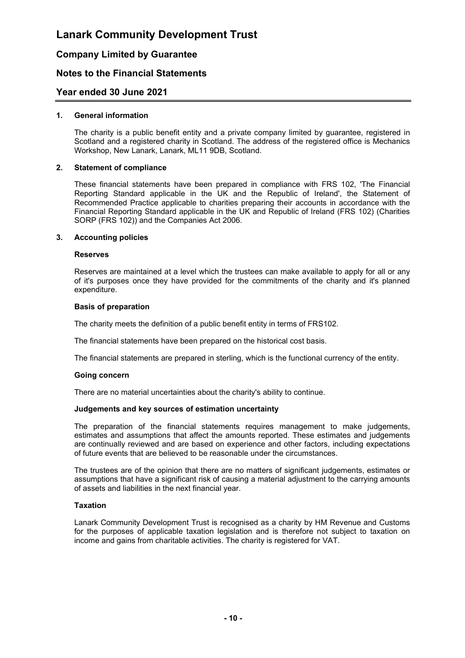### Company Limited by Guarantee

### Notes to the Financial Statements

#### Year ended 30 June 2021

#### 1. General information

 The charity is a public benefit entity and a private company limited by guarantee, registered in Scotland and a registered charity in Scotland. The address of the registered office is Mechanics Workshop, New Lanark, Lanark, ML11 9DB, Scotland.

#### 2. Statement of compliance

 These financial statements have been prepared in compliance with FRS 102, 'The Financial Reporting Standard applicable in the UK and the Republic of Ireland', the Statement of Recommended Practice applicable to charities preparing their accounts in accordance with the Financial Reporting Standard applicable in the UK and Republic of Ireland (FRS 102) (Charities SORP (FRS 102)) and the Companies Act 2006.

#### 3. Accounting policies

#### Reserves

 Reserves are maintained at a level which the trustees can make available to apply for all or any of it's purposes once they have provided for the commitments of the charity and it's planned expenditure.

#### Basis of preparation

The charity meets the definition of a public benefit entity in terms of FRS102.

The financial statements have been prepared on the historical cost basis.

The financial statements are prepared in sterling, which is the functional currency of the entity.

#### Going concern

There are no material uncertainties about the charity's ability to continue.

#### Judgements and key sources of estimation uncertainty

 The preparation of the financial statements requires management to make judgements, estimates and assumptions that affect the amounts reported. These estimates and judgements are continually reviewed and are based on experience and other factors, including expectations of future events that are believed to be reasonable under the circumstances.

 The trustees are of the opinion that there are no matters of significant judgements, estimates or assumptions that have a significant risk of causing a material adjustment to the carrying amounts of assets and liabilities in the next financial year.

#### Taxation

 Lanark Community Development Trust is recognised as a charity by HM Revenue and Customs for the purposes of applicable taxation legislation and is therefore not subject to taxation on income and gains from charitable activities. The charity is registered for VAT.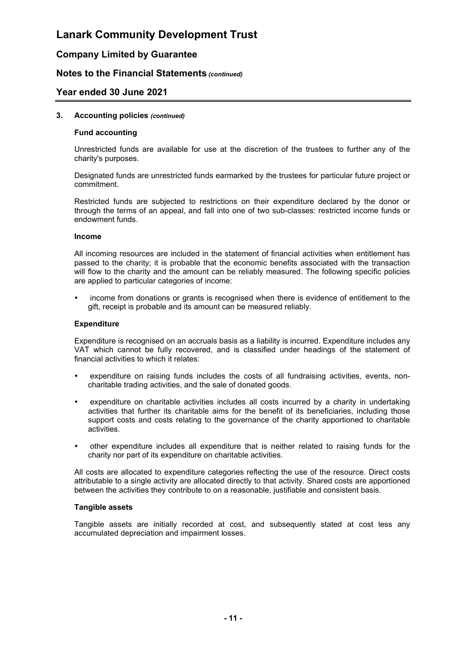### Company Limited by Guarantee

#### Notes to the Financial Statements (continued)

#### Year ended 30 June 2021

#### 3. Accounting policies (continued)

#### Fund accounting

 Unrestricted funds are available for use at the discretion of the trustees to further any of the charity's purposes.

 Designated funds are unrestricted funds earmarked by the trustees for particular future project or commitment.

 Restricted funds are subjected to restrictions on their expenditure declared by the donor or through the terms of an appeal, and fall into one of two sub-classes: restricted income funds or endowment funds.

#### Income

 All incoming resources are included in the statement of financial activities when entitlement has passed to the charity; it is probable that the economic benefits associated with the transaction will flow to the charity and the amount can be reliably measured. The following specific policies are applied to particular categories of income:

 income from donations or grants is recognised when there is evidence of entitlement to the gift, receipt is probable and its amount can be measured reliably.

#### **Expenditure**

 Expenditure is recognised on an accruals basis as a liability is incurred. Expenditure includes any VAT which cannot be fully recovered, and is classified under headings of the statement of financial activities to which it relates:

- expenditure on raising funds includes the costs of all fundraising activities, events, noncharitable trading activities, and the sale of donated goods.
- expenditure on charitable activities includes all costs incurred by a charity in undertaking activities that further its charitable aims for the benefit of its beneficiaries, including those support costs and costs relating to the governance of the charity apportioned to charitable activities.
- other expenditure includes all expenditure that is neither related to raising funds for the charity nor part of its expenditure on charitable activities.

 All costs are allocated to expenditure categories reflecting the use of the resource. Direct costs attributable to a single activity are allocated directly to that activity. Shared costs are apportioned between the activities they contribute to on a reasonable, justifiable and consistent basis.

#### Tangible assets

 Tangible assets are initially recorded at cost, and subsequently stated at cost less any accumulated depreciation and impairment losses.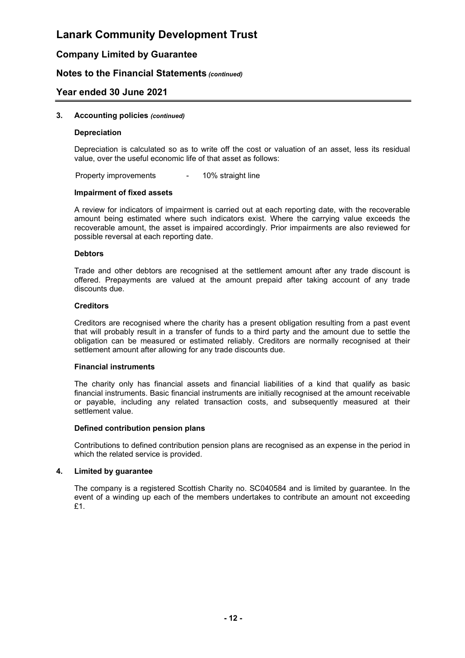### Company Limited by Guarantee

### Notes to the Financial Statements (continued)

### Year ended 30 June 2021

#### 3. Accounting policies (continued)

#### Depreciation

 Depreciation is calculated so as to write off the cost or valuation of an asset, less its residual value, over the useful economic life of that asset as follows:

Property improvements - 10% straight line

#### Impairment of fixed assets

 A review for indicators of impairment is carried out at each reporting date, with the recoverable amount being estimated where such indicators exist. Where the carrying value exceeds the recoverable amount, the asset is impaired accordingly. Prior impairments are also reviewed for possible reversal at each reporting date.

#### **Debtors**

 Trade and other debtors are recognised at the settlement amount after any trade discount is offered. Prepayments are valued at the amount prepaid after taking account of any trade discounts due.

#### **Creditors**

 Creditors are recognised where the charity has a present obligation resulting from a past event that will probably result in a transfer of funds to a third party and the amount due to settle the obligation can be measured or estimated reliably. Creditors are normally recognised at their settlement amount after allowing for any trade discounts due.

#### Financial instruments

 The charity only has financial assets and financial liabilities of a kind that qualify as basic financial instruments. Basic financial instruments are initially recognised at the amount receivable or payable, including any related transaction costs, and subsequently measured at their settlement value.

#### Defined contribution pension plans

 Contributions to defined contribution pension plans are recognised as an expense in the period in which the related service is provided.

#### 4. Limited by guarantee

 The company is a registered Scottish Charity no. SC040584 and is limited by guarantee. In the event of a winding up each of the members undertakes to contribute an amount not exceeding £1.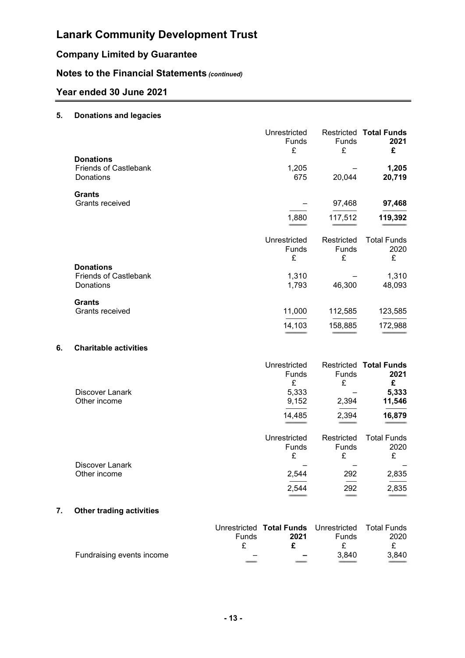## Company Limited by Guarantee

## Notes to the Financial Statements (continued)

## Year ended 30 June 2021

### 5. Donations and legacies

|    |                              | Unrestricted<br><b>Funds</b><br>£ | Funds<br>£ | <b>Restricted Total Funds</b><br>2021<br>£ |
|----|------------------------------|-----------------------------------|------------|--------------------------------------------|
|    | <b>Donations</b>             |                                   |            |                                            |
|    | <b>Friends of Castlebank</b> | 1,205                             |            | 1,205                                      |
|    | Donations                    | 675                               | 20,044     | 20,719                                     |
|    | <b>Grants</b>                |                                   |            |                                            |
|    | Grants received              |                                   | 97,468     | 97,468                                     |
|    |                              | 1,880                             | 117,512    | 119,392                                    |
|    |                              |                                   |            |                                            |
|    |                              | Unrestricted                      | Restricted | <b>Total Funds</b>                         |
|    |                              | <b>Funds</b>                      | Funds      | 2020                                       |
|    |                              | £                                 | £          | £                                          |
|    | <b>Donations</b>             |                                   |            |                                            |
|    | <b>Friends of Castlebank</b> | 1,310                             |            | 1,310                                      |
|    | Donations                    | 1,793                             | 46,300     | 48,093                                     |
|    | <b>Grants</b>                |                                   |            |                                            |
|    | Grants received              | 11,000                            | 112,585    | 123,585                                    |
|    |                              | 14,103                            | 158,885    | 172,988                                    |
|    |                              |                                   |            |                                            |
| 6. | <b>Charitable activities</b> |                                   |            |                                            |
|    |                              | Unrestricted                      |            | <b>Restricted Total Funds</b>              |
|    |                              | <b>Funds</b>                      | Funds      | 2021                                       |
|    |                              | £                                 | £          | £                                          |
|    | Discover Lanark              | 5,333                             |            | 5,333                                      |
|    | Other income                 | 9,152                             | 2,394      | 11,546                                     |
|    |                              | 14,485                            | 2,394      | 16,879                                     |
|    |                              |                                   |            |                                            |
|    |                              | Unrestricted                      | Restricted | <b>Total Funds</b>                         |
|    |                              | <b>Funds</b>                      | Funds      | 2020                                       |
|    |                              | £                                 | £          | £                                          |
|    | Discover Lanark              |                                   |            |                                            |
|    | Other income                 | 2,544                             | 292        | 2,835                                      |

#### 7. Other trading activities

|                           |       | Unrestricted Total Funds Unrestricted Total Funds |              |       |
|---------------------------|-------|---------------------------------------------------|--------------|-------|
|                           | Funds | 2021                                              | <b>Funds</b> | 2020  |
|                           |       |                                                   |              |       |
| Fundraising events income | -     | $\overline{\phantom{0}}$                          | 3.840        | 3.840 |
|                           |       |                                                   |              |       |

======================= ============== =======================

 ----------------------- -------------- -----------------------  $2,544$  292 2,835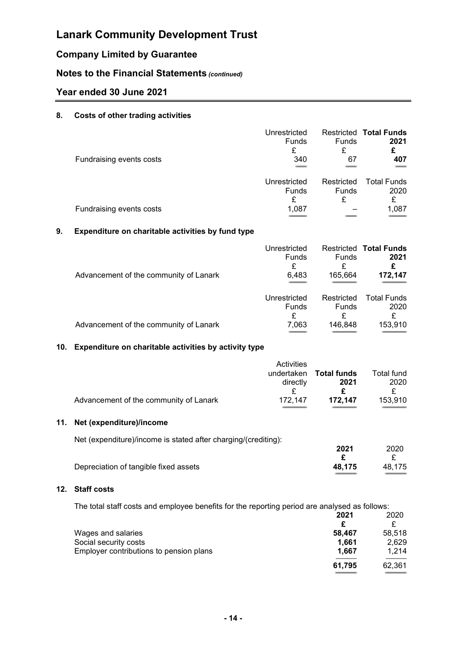## Company Limited by Guarantee

## Notes to the Financial Statements (continued)

## Year ended 30 June 2021

#### 8. Costs of other trading activities

| Fundraising events costs | Unrestricted<br><b>Funds</b><br>£<br>340 | Funds<br>£<br>67    | <b>Restricted Total Funds</b><br>2021<br>£<br>407 |
|--------------------------|------------------------------------------|---------------------|---------------------------------------------------|
|                          | Unrestricted<br>Funds<br>£               | Restricted<br>Funds | <b>Total Funds</b><br>2020<br>£                   |
| Fundraising events costs | 1,087                                    |                     | 1,087                                             |

### 9. Expenditure on charitable activities by fund type

| Advancement of the community of Lanark | Unrestricted<br><b>Funds</b><br>£<br>6,483 | <b>Funds</b><br>£<br>165,664 | <b>Restricted Total Funds</b><br>2021<br>£<br>172,147 |
|----------------------------------------|--------------------------------------------|------------------------------|-------------------------------------------------------|
|                                        | Unrestricted                               | Restricted                   | <b>Total Funds</b>                                    |
|                                        | Funds                                      | Funds                        | 2020                                                  |
| Advancement of the community of Lanark | £                                          | £                            | £                                                     |
|                                        | 7,063                                      | 146,848                      | 153,910                                               |

#### 10. Expenditure on charitable activities by activity type

|                                        | Activities |             |            |
|----------------------------------------|------------|-------------|------------|
|                                        | undertaken | Total funds | Total fund |
|                                        | directly   | 2021        | 2020       |
|                                        |            |             |            |
| Advancement of the community of Lanark | 172.147    | 172.147     | 153,910    |
|                                        |            |             |            |

### 11. Net (expenditure)/income

| Net (expenditure)/income is stated after charging/(crediting): |        |        |
|----------------------------------------------------------------|--------|--------|
|                                                                | 2021   | 2020   |
|                                                                |        |        |
| Depreciation of tangible fixed assets                          | 48.175 | 48.175 |

============================ ============================

#### 12. Staff costs

| The total staff costs and employee benefits for the reporting period are analysed as follows: | 2021   | 2020   |
|-----------------------------------------------------------------------------------------------|--------|--------|
|                                                                                               | c      | £      |
| Wages and salaries                                                                            | 58.467 | 58,518 |
| Social security costs                                                                         | 1.661  | 2,629  |
| Employer contributions to pension plans                                                       | 1.667  | 1.214  |
|                                                                                               | 61,795 | 62,361 |
|                                                                                               |        |        |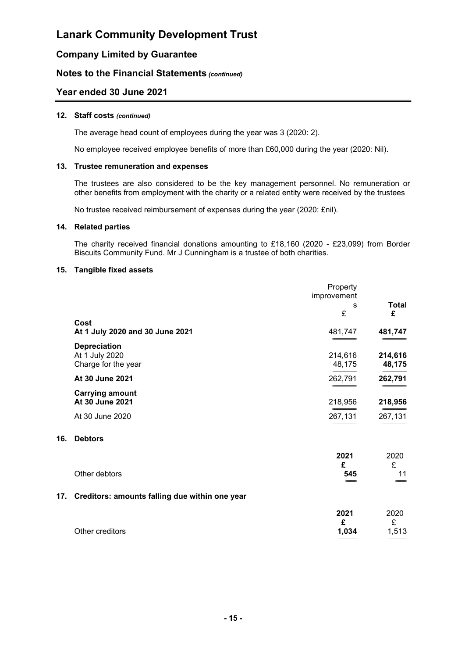## Company Limited by Guarantee

### Notes to the Financial Statements (continued)

### Year ended 30 June 2021

#### 12. Staff costs (continued)

The average head count of employees during the year was 3 (2020: 2).

No employee received employee benefits of more than £60,000 during the year (2020: Nil).

#### 13. Trustee remuneration and expenses

 The trustees are also considered to be the key management personnel. No remuneration or other benefits from employment with the charity or a related entity were received by the trustees

No trustee received reimbursement of expenses during the year (2020: £nil).

#### 14. Related parties

 The charity received financial donations amounting to £18,160 (2020 - £23,099) from Border Biscuits Community Fund. Mr J Cunningham is a trustee of both charities.

#### 15. Tangible fixed assets

|                                                              | Property<br>improvement |                   |
|--------------------------------------------------------------|-------------------------|-------------------|
|                                                              | s                       | Total             |
|                                                              | £                       | £                 |
| Cost<br>At 1 July 2020 and 30 June 2021                      | 481,747                 | 481,747           |
| <b>Depreciation</b><br>At 1 July 2020<br>Charge for the year | 214,616<br>48,175       | 214,616<br>48,175 |
| At 30 June 2021                                              | 262,791                 | 262,791           |
| <b>Carrying amount</b><br>At 30 June 2021                    | 218,956                 | 218,956           |
| At 30 June 2020                                              | 267,131                 | 267,131           |

#### 16. Debtors

| Other debtors                                      | 2021<br>£<br>545   | 2020<br>£<br>11    |
|----------------------------------------------------|--------------------|--------------------|
| 17. Creditors: amounts falling due within one year |                    |                    |
| Other creditors                                    | 2021<br>£<br>1,034 | 2020<br>£<br>1,513 |

======================= =======================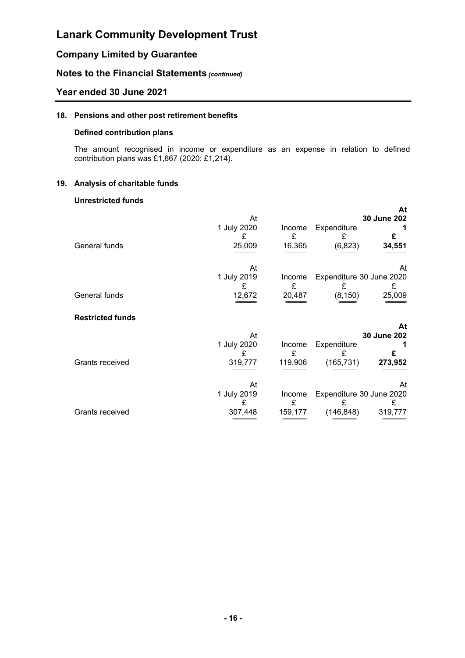## Company Limited by Guarantee

### Notes to the Financial Statements (continued)

### Year ended 30 June 2021

#### 18. Pensions and other post retirement benefits

#### Defined contribution plans

 The amount recognised in income or expenditure as an expense in relation to defined contribution plans was £1,667 (2020: £1,214).

#### 19. Analysis of charitable funds

#### Unrestricted funds

|                         |                  |             |                  | At                            |
|-------------------------|------------------|-------------|------------------|-------------------------------|
|                         | At               |             |                  | 30 June 202                   |
|                         | 1 July 2020<br>£ | Income<br>£ | Expenditure<br>£ | £                             |
| General funds           | 25,009           | 16,365      | (6, 823)         | 34,551                        |
|                         | At               |             |                  | At                            |
|                         | 1 July 2019<br>£ | Income<br>£ | £                | Expenditure 30 June 2020<br>£ |
| General funds           | 12,672           | 20,487      | (8, 150)         | 25,009                        |
| <b>Restricted funds</b> |                  |             |                  |                               |
|                         | At               |             |                  | At<br>30 June 202             |
|                         | 1 July 2020      | Income      | Expenditure      |                               |
|                         |                  | £           | £                | £                             |
| Grants received         | 319,777          | 119,906     | (165, 731)       | 273,952                       |
|                         | At               |             |                  | At                            |
|                         | 1 July 2019<br>£ | Income<br>£ | £                | Expenditure 30 June 2020<br>£ |
| Grants received         | 307,448          | 159,177     | (146, 848)       | 319,777                       |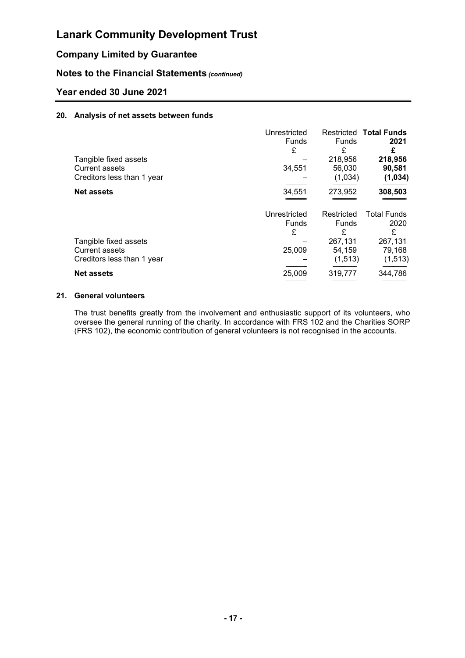## Company Limited by Guarantee

### Notes to the Financial Statements (continued)

### Year ended 30 June 2021

#### 20. Analysis of net assets between funds

|                            | Unrestricted |              | <b>Restricted Total Funds</b> |
|----------------------------|--------------|--------------|-------------------------------|
|                            | <b>Funds</b> | <b>Funds</b> | 2021                          |
|                            | £            | £            | £                             |
| Tangible fixed assets      |              | 218,956      | 218,956                       |
| <b>Current assets</b>      | 34,551       | 56,030       | 90,581                        |
| Creditors less than 1 year |              | (1,034)      | (1, 034)                      |
| <b>Net assets</b>          | 34,551       | 273,952      | 308,503                       |
|                            |              |              |                               |
|                            | Unrestricted | Restricted   | <b>Total Funds</b>            |
|                            | <b>Funds</b> | <b>Funds</b> | 2020                          |
|                            | £            | £            | £                             |
| Tangible fixed assets      |              | 267,131      | 267,131                       |
| Current assets             | 25,009       | 54,159       | 79,168                        |
| Creditors less than 1 year |              | (1, 513)     | (1, 513)                      |
| <b>Net assets</b>          | 25,009       | 319,777      | 344,786                       |
|                            |              |              |                               |

#### 21. General volunteers

 The trust benefits greatly from the involvement and enthusiastic support of its volunteers, who oversee the general running of the charity. In accordance with FRS 102 and the Charities SORP (FRS 102), the economic contribution of general volunteers is not recognised in the accounts.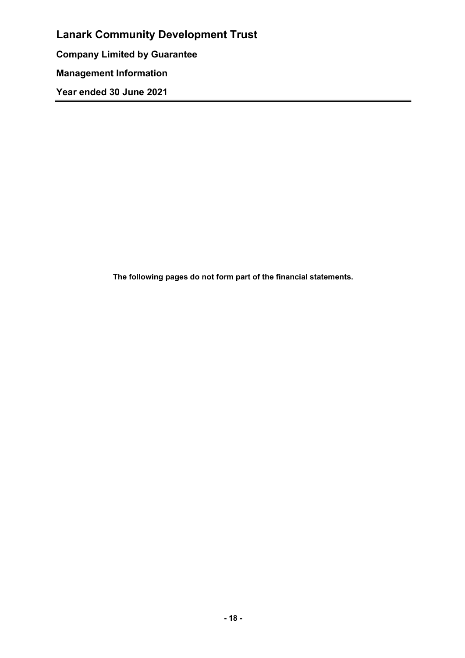Lanark Community Development Trust Company Limited by Guarantee Management Information Year ended 30 June 2021

The following pages do not form part of the financial statements.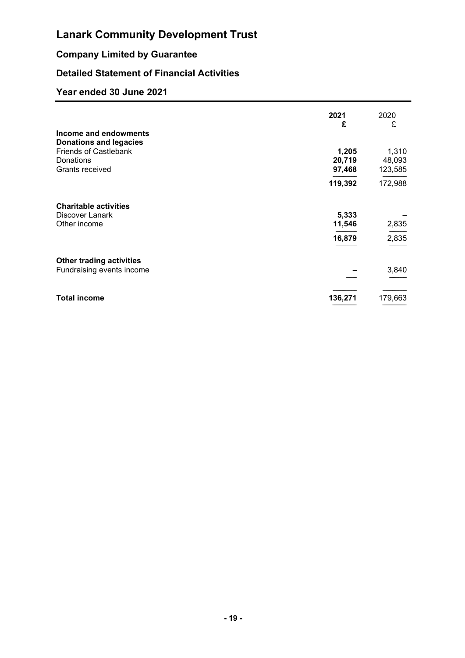## Company Limited by Guarantee

## Detailed Statement of Financial Activities

|                                                        | 2021<br>£        | 2020<br>£         |
|--------------------------------------------------------|------------------|-------------------|
| Income and endowments<br><b>Donations and legacies</b> |                  |                   |
| <b>Friends of Castlebank</b>                           | 1,205            | 1,310             |
| Donations<br>Grants received                           | 20,719<br>97,468 | 48,093<br>123,585 |
|                                                        | 119,392          | 172,988           |
| <b>Charitable activities</b>                           |                  |                   |
| Discover Lanark                                        | 5,333            |                   |
| Other income                                           | 11,546           | 2,835             |
|                                                        | 16,879           | 2,835             |
| <b>Other trading activities</b>                        |                  |                   |
| Fundraising events income                              |                  | 3,840             |
| <b>Total income</b>                                    | 136,271          | 179,663           |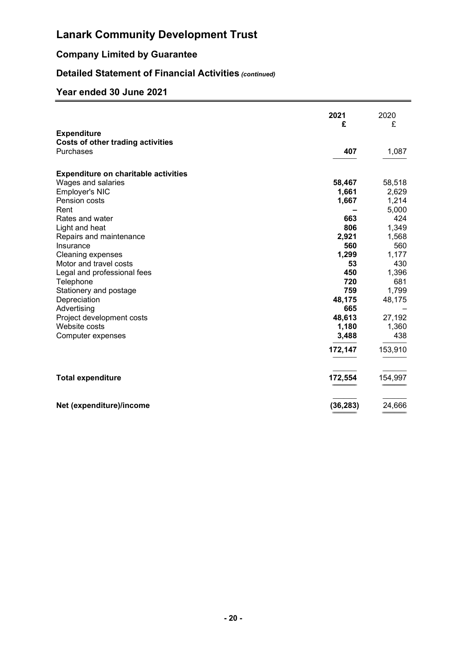## Company Limited by Guarantee

## Detailed Statement of Financial Activities (continued)

|                                             | 2021<br>£ | 2020<br>£ |
|---------------------------------------------|-----------|-----------|
| <b>Expenditure</b>                          |           |           |
| <b>Costs of other trading activities</b>    |           |           |
| Purchases                                   | 407       | 1,087     |
|                                             |           |           |
| <b>Expenditure on charitable activities</b> |           |           |
| Wages and salaries                          | 58,467    | 58,518    |
| <b>Employer's NIC</b>                       | 1,661     | 2,629     |
| Pension costs                               | 1,667     | 1,214     |
| Rent                                        |           | 5,000     |
| Rates and water                             | 663       | 424       |
| Light and heat                              | 806       | 1,349     |
| Repairs and maintenance                     | 2,921     | 1,568     |
| Insurance                                   | 560       | 560       |
| <b>Cleaning expenses</b>                    | 1,299     | 1,177     |
| Motor and travel costs                      | 53        | 430       |
| Legal and professional fees                 | 450       | 1,396     |
| Telephone                                   | 720       | 681       |
| Stationery and postage                      | 759       | 1,799     |
| Depreciation                                | 48,175    | 48,175    |
| Advertising                                 | 665       |           |
| Project development costs                   | 48,613    | 27,192    |
| Website costs                               | 1,180     | 1,360     |
| Computer expenses                           | 3,488     | 438       |
|                                             | 172,147   | 153,910   |
| <b>Total expenditure</b>                    | 172,554   | 154,997   |
| Net (expenditure)/income                    | (36, 283) | 24,666    |